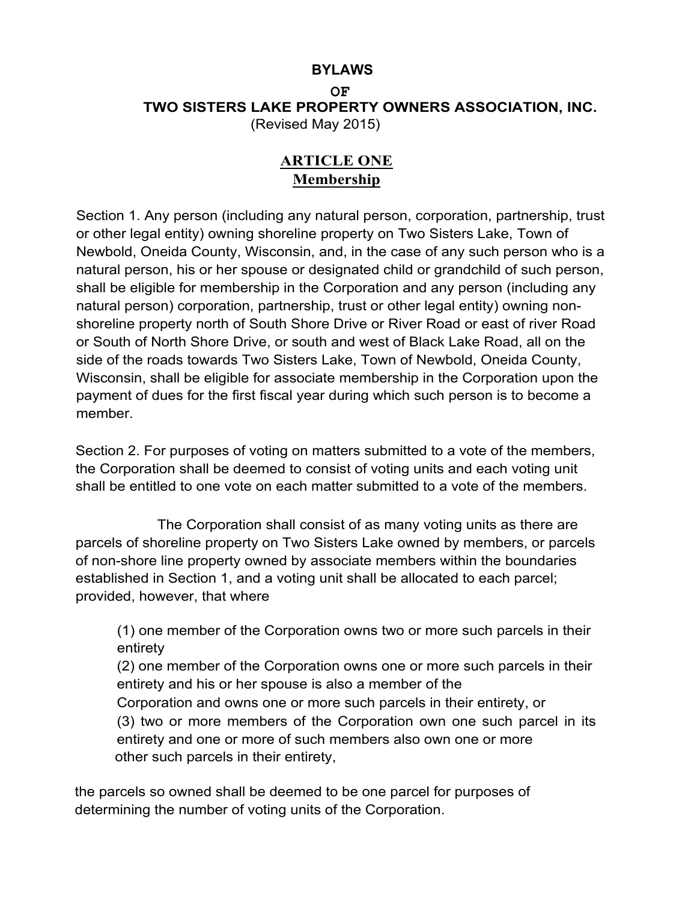### **BYLAWS**

#### **OF TWO SISTERS LAKE PROPERTY OWNERS ASSOCIATION, INC.** (Revised May 2015)

# **ARTICLE ONE Membership**

Section 1. Any person (including any natural person, corporation, partnership, trust or other legal entity) owning shoreline property on Two Sisters Lake, Town of Newbold, Oneida County, Wisconsin, and, in the case of any such person who is a natural person, his or her spouse or designated child or grandchild of such person, shall be eligible for membership in the Corporation and any person (including any natural person) corporation, partnership, trust or other legal entity) owning nonshoreline property north of South Shore Drive or River Road or east of river Road or South of North Shore Drive, or south and west of Black Lake Road, all on the side of the roads towards Two Sisters Lake, Town of Newbold, Oneida County, Wisconsin, shall be eligible for associate membership in the Corporation upon the payment of dues for the first fiscal year during which such person is to become a member.

Section 2. For purposes of voting on matters submitted to a vote of the members, the Corporation shall be deemed to consist of voting units and each voting unit shall be entitled to one vote on each matter submitted to a vote of the members.

The Corporation shall consist of as many voting units as there are parcels of shoreline property on Two Sisters Lake owned by members, or parcels of non-shore line property owned by associate members within the boundaries established in Section 1, and a voting unit shall be allocated to each parcel; provided, however, that where

(1) one member of the Corporation owns two or more such parcels in their entirety

(2) one member of the Corporation owns one or more such parcels in their entirety and his or her spouse is also a member of the Corporation and owns one or more such parcels in their entirety, or (3) two or more members of the Corporation own one such parcel in its entirety and one or more of such members also own one or more

other such parcels in their entirety,

the parcels so owned shall be deemed to be one parcel for purposes of determining the number of voting units of the Corporation.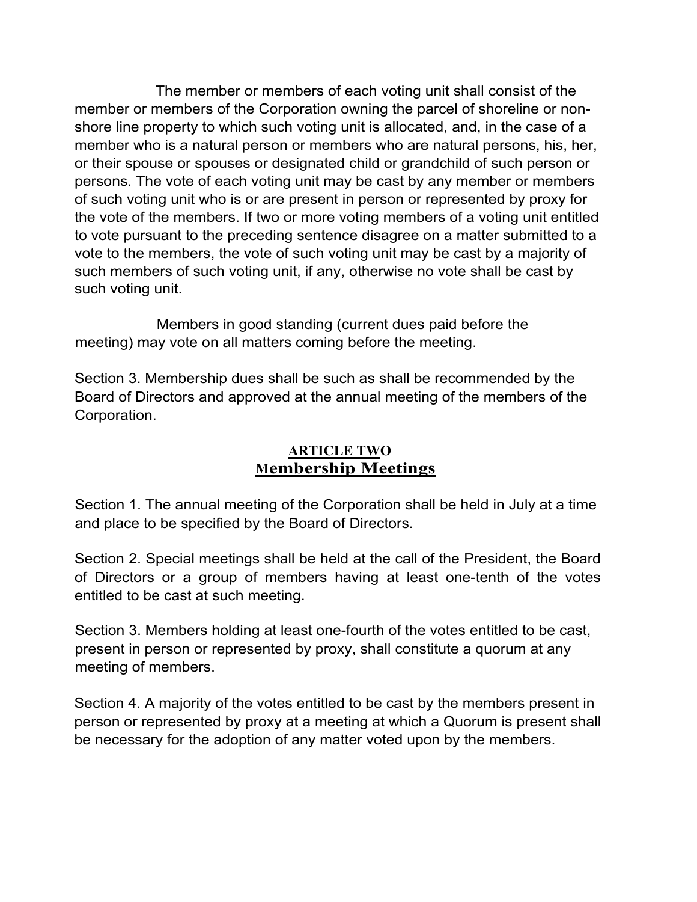The member or members of each voting unit shall consist of the member or members of the Corporation owning the parcel of shoreline or nonshore line property to which such voting unit is allocated, and, in the case of a member who is a natural person or members who are natural persons, his, her, or their spouse or spouses or designated child or grandchild of such person or persons. The vote of each voting unit may be cast by any member or members of such voting unit who is or are present in person or represented by proxy for the vote of the members. If two or more voting members of a voting unit entitled to vote pursuant to the preceding sentence disagree on a matter submitted to a vote to the members, the vote of such voting unit may be cast by a majority of such members of such voting unit, if any, otherwise no vote shall be cast by such voting unit.

Members in good standing (current dues paid before the meeting) may vote on all matters coming before the meeting.

Section 3. Membership dues shall be such as shall be recommended by the Board of Directors and approved at the annual meeting of the members of the Corporation.

# **ARTICLE TWO Membership Meetings**

Section 1. The annual meeting of the Corporation shall be held in July at a time and place to be specified by the Board of Directors.

Section 2. Special meetings shall be held at the call of the President, the Board of Directors or a group of members having at least one-tenth of the votes entitled to be cast at such meeting.

Section 3. Members holding at least one-fourth of the votes entitled to be cast, present in person or represented by proxy, shall constitute a quorum at any meeting of members.

Section 4. A majority of the votes entitled to be cast by the members present in person or represented by proxy at a meeting at which a Quorum is present shall be necessary for the adoption of any matter voted upon by the members.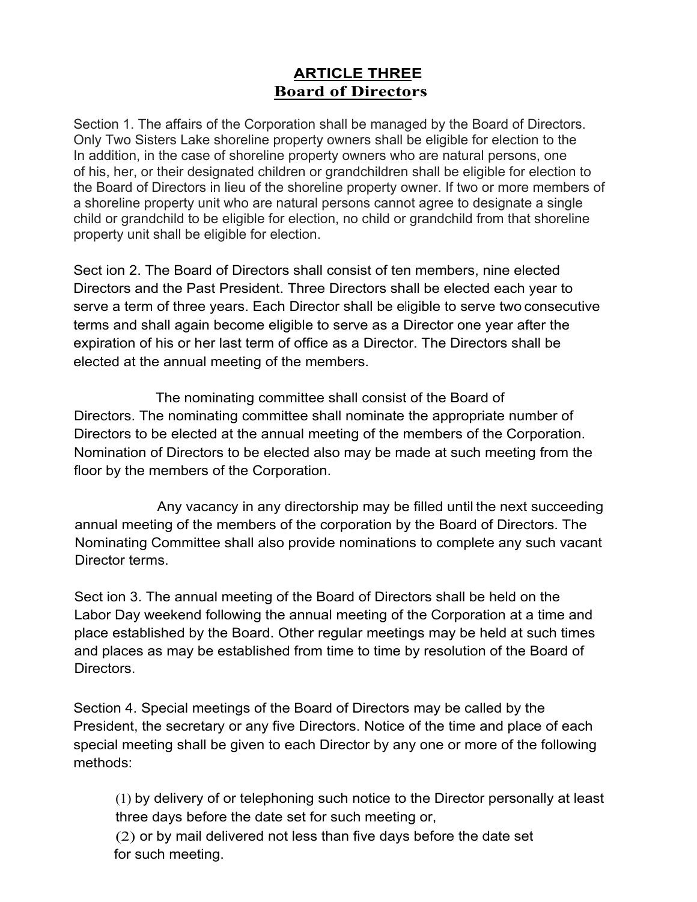# **ARTICLE THREE Board of Directors**

Section 1. The affairs of the Corporation shall be managed by the Board of Directors. Only Two Sisters Lake shoreline property owners shall be eligible for election to the In addition, in the case of shoreline property owners who are natural persons, one of his, her, or their designated children or grandchildren shall be eligible for election to the Board of Directors in lieu of the shoreline property owner. If two or more members of a shoreline property unit who are natural persons cannot agree to designate a single child or grandchild to be eligible for election, no child or grandchild from that shoreline property unit shall be eligible for election.

Sect ion 2. The Board of Directors shall consist of ten members, nine elected Directors and the Past President. Three Directors shall be elected each year to serve a term of three years. Each Director shall be eligible to serve two consecutive terms and shall again become eligible to serve as a Director one year after the expiration of his or her last term of office as a Director. The Directors shall be elected at the annual meeting of the members.

The nominating committee shall consist of the Board of Directors. The nominating committee shall nominate the appropriate number of Directors to be elected at the annual meeting of the members of the Corporation. Nomination of Directors to be elected also may be made at such meeting from the floor by the members of the Corporation.

Any vacancy in any directorship may be filled until the next succeeding annual meeting of the members of the corporation by the Board of Directors. The Nominating Committee shall also provide nominations to complete any such vacant Director terms.

Sect ion 3. The annual meeting of the Board of Directors shall be held on the Labor Day weekend following the annual meeting of the Corporation at a time and place established by the Board. Other regular meetings may be held at such times and places as may be established from time to time by resolution of the Board of Directors.

Section 4. Special meetings of the Board of Directors may be called by the President, the secretary or any five Directors. Notice of the time and place of each special meeting shall be given to each Director by any one or more of the following methods:

(1) by delivery of or telephoning such notice to the Director personally at least three days before the date set for such meeting or,

(2) or by mail delivered not less than five days before the date set for such meeting.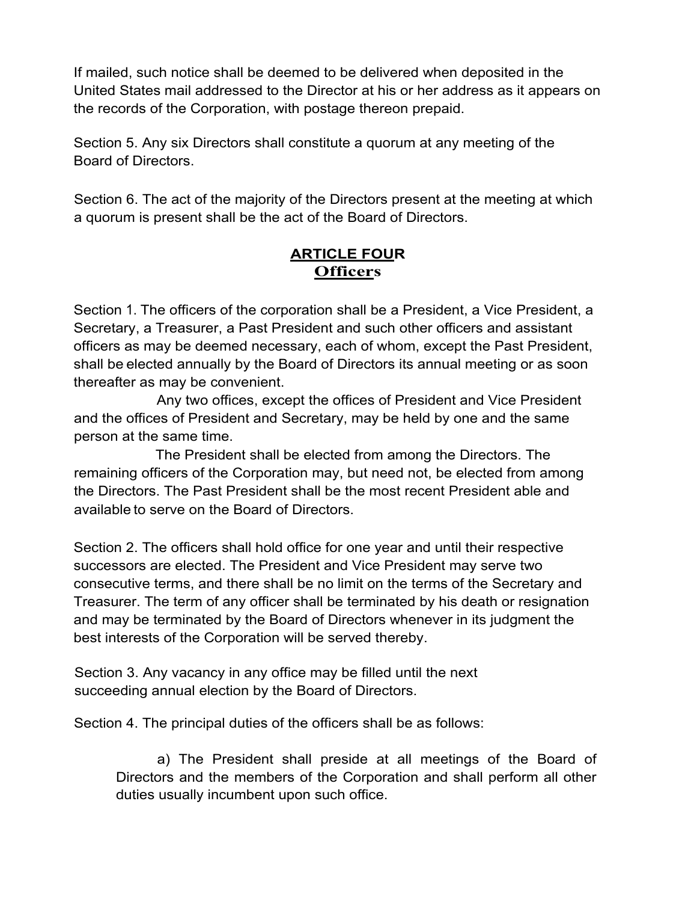If mailed, such notice shall be deemed to be delivered when deposited in the United States mail addressed to the Director at his or her address as it appears on the records of the Corporation, with postage thereon prepaid.

Section 5. Any six Directors shall constitute a quorum at any meeting of the Board of Directors.

Section 6. The act of the majority of the Directors present at the meeting at which a quorum is present shall be the act of the Board of Directors.

### **ARTICLE FOUR Officers**

Section 1. The officers of the corporation shall be a President, a Vice President, a Secretary, a Treasurer, a Past President and such other officers and assistant officers as may be deemed necessary, each of whom, except the Past President, shall be elected annually by the Board of Directors its annual meeting or as soon thereafter as may be convenient.

Any two offices, except the offices of President and Vice President and the offices of President and Secretary, may be held by one and the same person at the same time.

The President shall be elected from among the Directors. The remaining officers of the Corporation may, but need not, be elected from among the Directors. The Past President shall be the most recent President able and available to serve on the Board of Directors.

Section 2. The officers shall hold office for one year and until their respective successors are elected. The President and Vice President may serve two consecutive terms, and there shall be no limit on the terms of the Secretary and Treasurer. The term of any officer shall be terminated by his death or resignation and may be terminated by the Board of Directors whenever in its judgment the best interests of the Corporation will be served thereby.

Section 3. Any vacancy in any office may be filled until the next succeeding annual election by the Board of Directors.

Section 4. The principal duties of the officers shall be as follows:

a) The President shall preside at all meetings of the Board of Directors and the members of the Corporation and shall perform all other duties usually incumbent upon such office.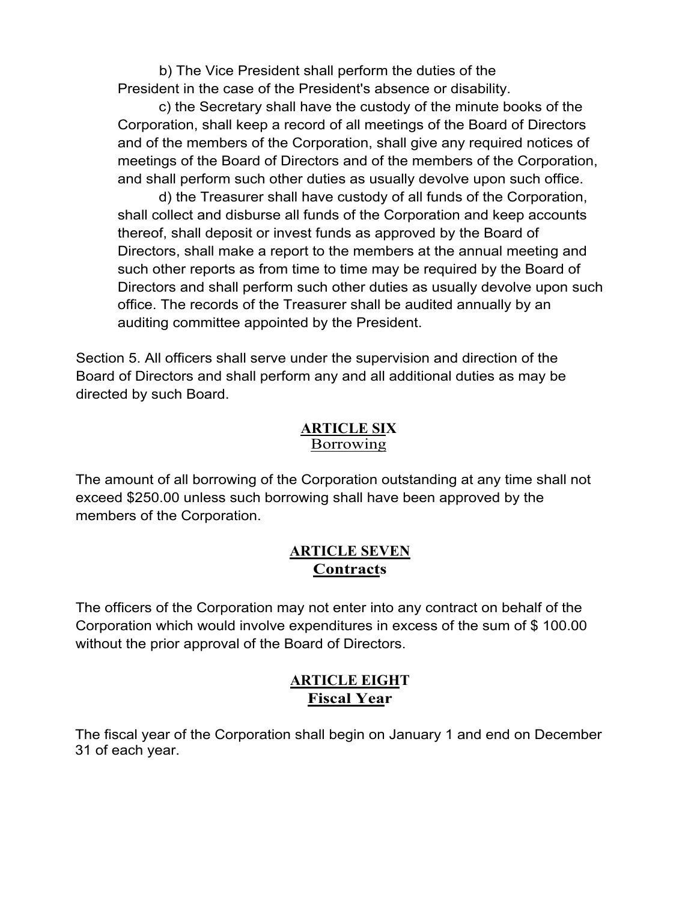b) The Vice President shall perform the duties of the President in the case of the President's absence or disability.

c) the Secretary shall have the custody of the minute books of the Corporation, shall keep a record of all meetings of the Board of Directors and of the members of the Corporation, shall give any required notices of meetings of the Board of Directors and of the members of the Corporation, and shall perform such other duties as usually devolve upon such office.

d) the Treasurer shall have custody of all funds of the Corporation, shall collect and disburse all funds of the Corporation and keep accounts thereof, shall deposit or invest funds as approved by the Board of Directors, shall make a report to the members at the annual meeting and such other reports as from time to time may be required by the Board of Directors and shall perform such other duties as usually devolve upon such office. The records of the Treasurer shall be audited annually by an auditing committee appointed by the President.

Section 5. All officers shall serve under the supervision and direction of the Board of Directors and shall perform any and all additional duties as may be directed by such Board.

#### **ARTICLE SIX Borrowing**

The amount of all borrowing of the Corporation outstanding at any time shall not exceed \$250.00 unless such borrowing shall have been approved by the members of the Corporation.

### **ARTICLE SEVEN Contracts**

The officers of the Corporation may not enter into any contract on behalf of the Corporation which would involve expenditures in excess of the sum of \$ 100.00 without the prior approval of the Board of Directors.

### **ARTICLE EIGHT Fiscal Year**

The fiscal year of the Corporation shall begin on January 1 and end on December 31 of each year.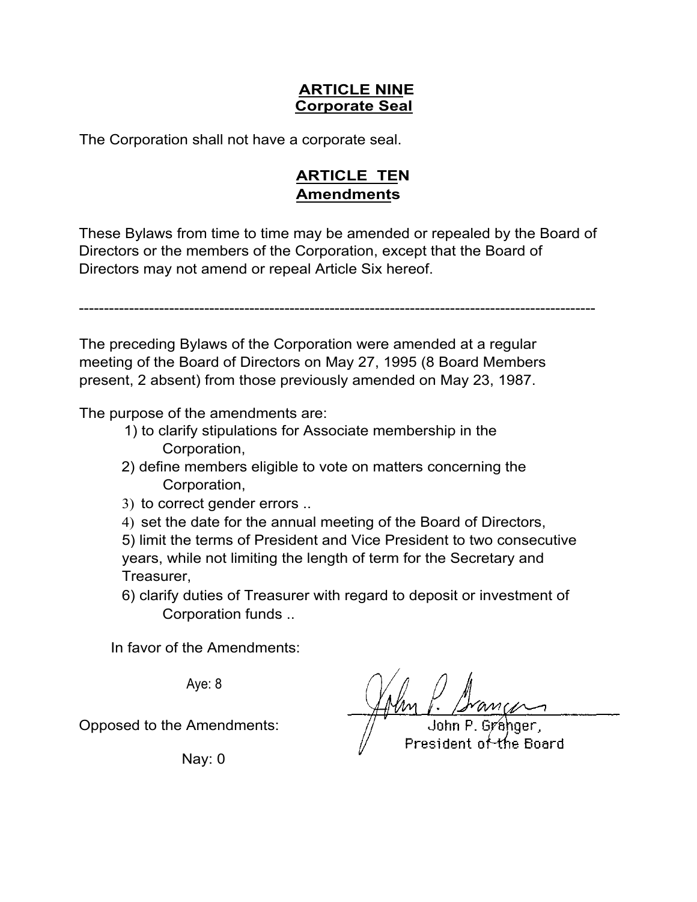### **ARTICLE NINE Corporate Seal**

The Corporation shall not have a corporate seal.

# **ARTICLE TEN Amendments**

These Bylaws from time to time may be amended or repealed by the Board of Directors or the members of the Corporation, except that the Board of Directors may not amend or repeal Article Six hereof.

-------------------------------------------------------------------------------------------------------

The preceding Bylaws of the Corporation were amended at a regular meeting of the Board of Directors on May 27, 1995 (8 Board Members present, 2 absent) from those previously amended on May 23, 1987.

The purpose of the amendments are:

- 1) to clarify stipulations for Associate membership in the Corporation,
- 2) define members eligible to vote on matters concerning the Corporation,
- 3) to correct gender errors ..
- 4) set the date for the annual meeting of the Board of Directors,
- 5) limit the terms of President and Vice President to two consecutive years, while not limiting the length of term for the Secretary and Treasurer,
- 6) clarify duties of Treasurer with regard to deposit or investment of Corporation funds ..

In favor of the Amendments:

Aye: 8

Opposed to the Amendments:

Nay: 0